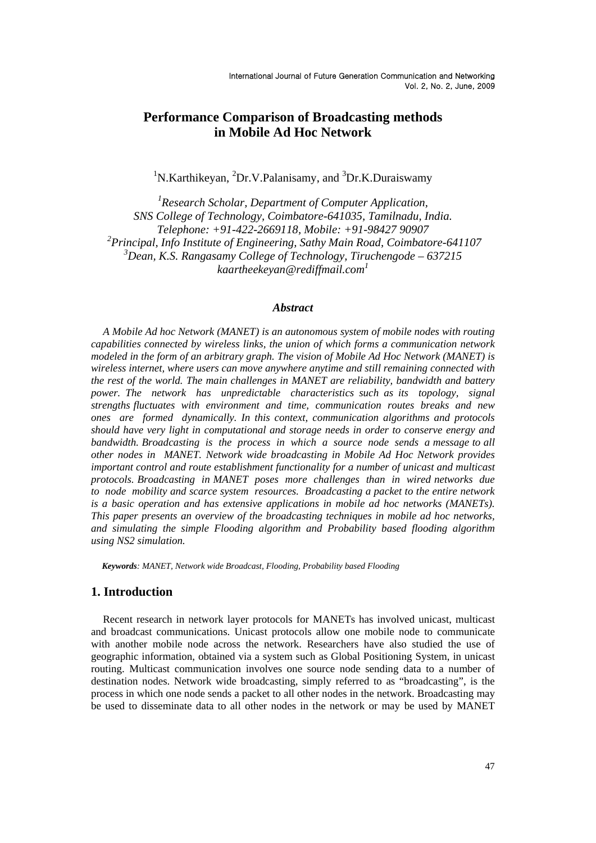# **Performance Comparison of Broadcasting methods in Mobile Ad Hoc Network**

<sup>1</sup>N.Karthikeyan, <sup>2</sup>Dr.V.Palanisamy, and <sup>3</sup>Dr.K.Duraiswamy

*1 Research Scholar, Department of Computer Application, SNS College of Technology, Coimbatore-641035, Tamilnadu, India. Telephone: +91-422-2669118, Mobile: +91-98427 90907 2 Principal, Info Institute of Engineering, Sathy Main Road, Coimbatore-641107 3 Dean, K.S. Rangasamy College of Technology, Tiruchengode – 637215 kaartheekeyan@rediffmail.com<sup>1</sup>*

#### *Abstract*

*A Mobile Ad hoc Network (MANET) is an autonomous system of mobile nodes with routing capabilities connected by wireless links, the union of which forms a communication network modeled in the form of an arbitrary graph. The vision of Mobile Ad Hoc Network (MANET) is wireless internet, where users can move anywhere anytime and still remaining connected with the rest of the world. The main challenges in MANET are reliability, bandwidth and battery power. The network has unpredictable characteristics such as its topology, signal strengths fluctuates with environment and time, communication routes breaks and new ones are formed dynamically. In this context, communication algorithms and protocols should have very light in computational and storage needs in order to conserve energy and bandwidth. Broadcasting is the process in which a source node sends a message to all other nodes in MANET. Network wide broadcasting in Mobile Ad Hoc Network provides important control and route establishment functionality for a number of unicast and multicast protocols. Broadcasting in MANET poses more challenges than in wired networks due to node mobility and scarce system resources. Broadcasting a packet to the entire network is a basic operation and has extensive applications in mobile ad hoc networks (MANETs). This paper presents an overview of the broadcasting techniques in mobile ad hoc networks, and simulating the simple Flooding algorithm and Probability based flooding algorithm using NS2 simulation.* 

 *Keywords: MANET, Network wide Broadcast, Flooding, Probability based Flooding* 

## **1. Introduction**

Recent research in network layer protocols for MANETs has involved unicast, multicast and broadcast communications. Unicast protocols allow one mobile node to communicate with another mobile node across the network. Researchers have also studied the use of geographic information, obtained via a system such as Global Positioning System, in unicast routing. Multicast communication involves one source node sending data to a number of destination nodes. Network wide broadcasting, simply referred to as "broadcasting", is the process in which one node sends a packet to all other nodes in the network. Broadcasting may be used to disseminate data to all other nodes in the network or may be used by MANET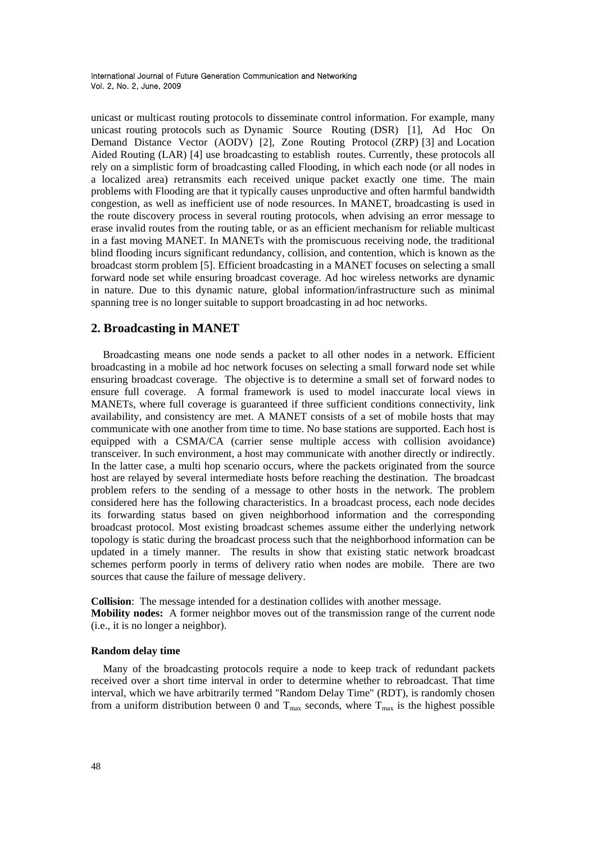unicast or multicast routing protocols to disseminate control information. For example, many unicast routing protocols such as Dynamic Source Routing (DSR) [1], Ad Hoc On Demand Distance Vector (AODV) [2], Zone Routing Protocol (ZRP) [3] and Location Aided Routing (LAR) [4] use broadcasting to establish routes. Currently, these protocols all rely on a simplistic form of broadcasting called Flooding, in which each node (or all nodes in a localized area) retransmits each received unique packet exactly one time. The main problems with Flooding are that it typically causes unproductive and often harmful bandwidth congestion, as well as inefficient use of node resources. In MANET, broadcasting is used in the route discovery process in several routing protocols, when advising an error message to erase invalid routes from the routing table, or as an efficient mechanism for reliable multicast in a fast moving MANET. In MANETs with the promiscuous receiving node, the traditional blind flooding incurs significant redundancy, collision, and contention, which is known as the broadcast storm problem [5]. Efficient broadcasting in a MANET focuses on selecting a small forward node set while ensuring broadcast coverage. Ad hoc wireless networks are dynamic in nature. Due to this dynamic nature, global information/infrastructure such as minimal spanning tree is no longer suitable to support broadcasting in ad hoc networks.

### **2. Broadcasting in MANET**

Broadcasting means one node sends a packet to all other nodes in a network. Efficient broadcasting in a mobile ad hoc network focuses on selecting a small forward node set while ensuring broadcast coverage. The objective is to determine a small set of forward nodes to ensure full coverage. A formal framework is used to model inaccurate local views in MANETs, where full coverage is guaranteed if three sufficient conditions connectivity, link availability, and consistency are met. A MANET consists of a set of mobile hosts that may communicate with one another from time to time. No base stations are supported. Each host is equipped with a CSMA/CA (carrier sense multiple access with collision avoidance) transceiver. In such environment, a host may communicate with another directly or indirectly. In the latter case, a multi hop scenario occurs, where the packets originated from the source host are relayed by several intermediate hosts before reaching the destination. The broadcast problem refers to the sending of a message to other hosts in the network. The problem considered here has the following characteristics. In a broadcast process, each node decides its forwarding status based on given neighborhood information and the corresponding broadcast protocol. Most existing broadcast schemes assume either the underlying network topology is static during the broadcast process such that the neighborhood information can be updated in a timely manner. The results in show that existing static network broadcast schemes perform poorly in terms of delivery ratio when nodes are mobile. There are two sources that cause the failure of message delivery.

**Collision**: The message intended for a destination collides with another message. **Mobility nodes:** A former neighbor moves out of the transmission range of the current node (i.e., it is no longer a neighbor).

#### **Random delay time**

Many of the broadcasting protocols require a node to keep track of redundant packets received over a short time interval in order to determine whether to rebroadcast. That time interval, which we have arbitrarily termed "Random Delay Time" (RDT), is randomly chosen from a uniform distribution between 0 and  $T_{\text{max}}$  seconds, where  $T_{\text{max}}$  is the highest possible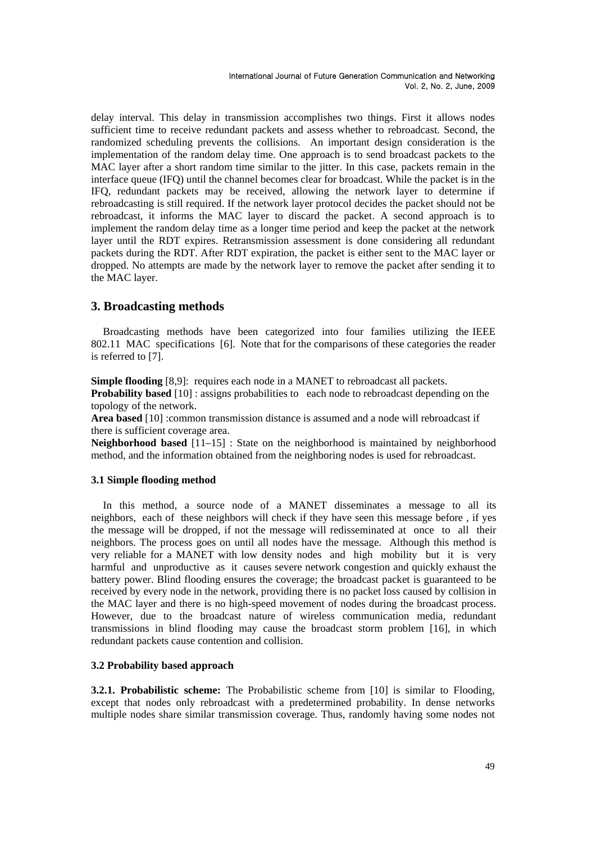delay interval. This delay in transmission accomplishes two things. First it allows nodes sufficient time to receive redundant packets and assess whether to rebroadcast. Second, the randomized scheduling prevents the collisions. An important design consideration is the implementation of the random delay time. One approach is to send broadcast packets to the MAC layer after a short random time similar to the jitter. In this case, packets remain in the interface queue (IFQ) until the channel becomes clear for broadcast. While the packet is in the IFQ, redundant packets may be received, allowing the network layer to determine if rebroadcasting is still required. If the network layer protocol decides the packet should not be rebroadcast, it informs the MAC layer to discard the packet. A second approach is to implement the random delay time as a longer time period and keep the packet at the network layer until the RDT expires. Retransmission assessment is done considering all redundant packets during the RDT. After RDT expiration, the packet is either sent to the MAC layer or dropped. No attempts are made by the network layer to remove the packet after sending it to the MAC layer.

## **3. Broadcasting methods**

Broadcasting methods have been categorized into four families utilizing the IEEE 802.11 MAC specifications [6]. Note that for the comparisons of these categories the reader is referred to [7].

**Simple flooding** [8,9]: requires each node in a MANET to rebroadcast all packets. **Probability based** [10] : assigns probabilities to each node to rebroadcast depending on the topology of the network.

**Area based** [10] :common transmission distance is assumed and a node will rebroadcast if there is sufficient coverage area.

**Neighborhood based** [11–15] : State on the neighborhood is maintained by neighborhood method, and the information obtained from the neighboring nodes is used for rebroadcast.

### **3.1 Simple flooding method**

In this method, a source node of a MANET disseminates a message to all its neighbors, each of these neighbors will check if they have seen this message before , if yes the message will be dropped, if not the message will redisseminated at once to all their neighbors. The process goes on until all nodes have the message. Although this method is very reliable for a MANET with low density nodes and high mobility but it is very harmful and unproductive as it causes severe network congestion and quickly exhaust the battery power. Blind flooding ensures the coverage; the broadcast packet is guaranteed to be received by every node in the network, providing there is no packet loss caused by collision in the MAC layer and there is no high-speed movement of nodes during the broadcast process. However, due to the broadcast nature of wireless communication media, redundant transmissions in blind flooding may cause the broadcast storm problem [16], in which redundant packets cause contention and collision.

### **3.2 Probability based approach**

**3.2.1. Probabilistic scheme:** The Probabilistic scheme from [10] is similar to Flooding, except that nodes only rebroadcast with a predetermined probability. In dense networks multiple nodes share similar transmission coverage. Thus, randomly having some nodes not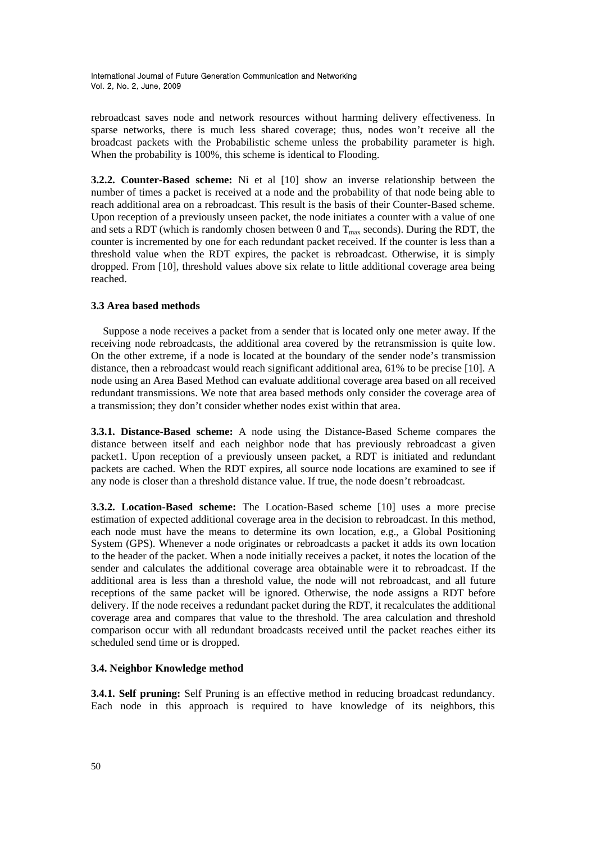rebroadcast saves node and network resources without harming delivery effectiveness. In sparse networks, there is much less shared coverage; thus, nodes won't receive all the broadcast packets with the Probabilistic scheme unless the probability parameter is high. When the probability is 100%, this scheme is identical to Flooding.

**3.2.2. Counter-Based scheme:** Ni et al [10] show an inverse relationship between the number of times a packet is received at a node and the probability of that node being able to reach additional area on a rebroadcast. This result is the basis of their Counter-Based scheme. Upon reception of a previously unseen packet, the node initiates a counter with a value of one and sets a RDT (which is randomly chosen between 0 and  $T_{\text{max}}$  seconds). During the RDT, the counter is incremented by one for each redundant packet received. If the counter is less than a threshold value when the RDT expires, the packet is rebroadcast. Otherwise, it is simply dropped. From [10], threshold values above six relate to little additional coverage area being reached.

### **3.3 Area based methods**

Suppose a node receives a packet from a sender that is located only one meter away. If the receiving node rebroadcasts, the additional area covered by the retransmission is quite low. On the other extreme, if a node is located at the boundary of the sender node's transmission distance, then a rebroadcast would reach significant additional area, 61% to be precise [10]. A node using an Area Based Method can evaluate additional coverage area based on all received redundant transmissions. We note that area based methods only consider the coverage area of a transmission; they don't consider whether nodes exist within that area.

**3.3.1. Distance-Based scheme:** A node using the Distance-Based Scheme compares the distance between itself and each neighbor node that has previously rebroadcast a given packet1. Upon reception of a previously unseen packet, a RDT is initiated and redundant packets are cached. When the RDT expires, all source node locations are examined to see if any node is closer than a threshold distance value. If true, the node doesn't rebroadcast.

**3.3.2. Location-Based scheme:** The Location-Based scheme [10] uses a more precise estimation of expected additional coverage area in the decision to rebroadcast. In this method, each node must have the means to determine its own location, e.g., a Global Positioning System (GPS). Whenever a node originates or rebroadcasts a packet it adds its own location to the header of the packet. When a node initially receives a packet, it notes the location of the sender and calculates the additional coverage area obtainable were it to rebroadcast. If the additional area is less than a threshold value, the node will not rebroadcast, and all future receptions of the same packet will be ignored. Otherwise, the node assigns a RDT before delivery. If the node receives a redundant packet during the RDT, it recalculates the additional coverage area and compares that value to the threshold. The area calculation and threshold comparison occur with all redundant broadcasts received until the packet reaches either its scheduled send time or is dropped.

#### **3.4. Neighbor Knowledge method**

**3.4.1. Self pruning:** Self Pruning is an effective method in reducing broadcast redundancy. Each node in this approach is required to have knowledge of its neighbors, this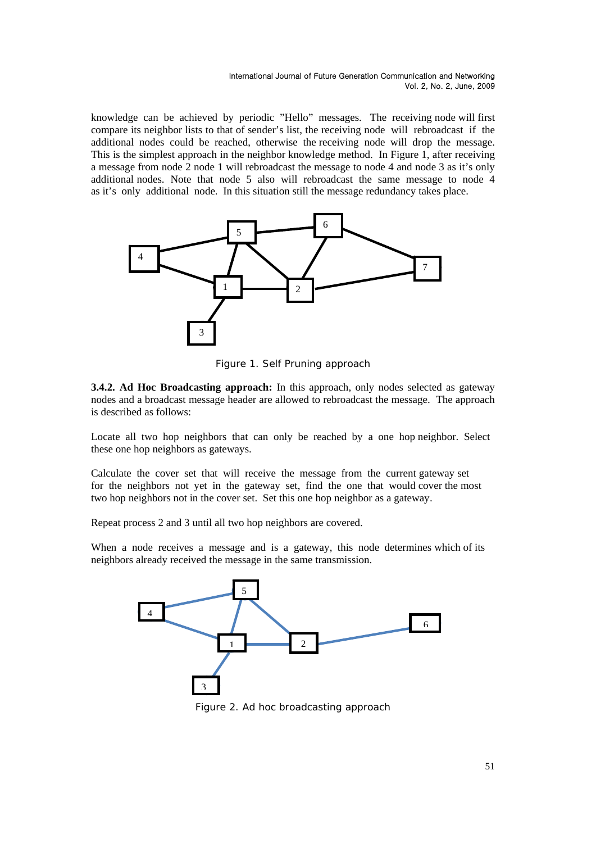knowledge can be achieved by periodic "Hello" messages. The receiving node will first compare its neighbor lists to that of sender's list, the receiving node will rebroadcast if the additional nodes could be reached, otherwise the receiving node will drop the message. This is the simplest approach in the neighbor knowledge method. In Figure 1, after receiving a message from node 2 node 1 will rebroadcast the message to node 4 and node 3 as it's only additional nodes. Note that node 5 also will rebroadcast the same message to node 4 as it's only additional node. In this situation still the message redundancy takes place.



Figure 1. Self Pruning approach

**3.4.2. Ad Hoc Broadcasting approach:** In this approach, only nodes selected as gateway nodes and a broadcast message header are allowed to rebroadcast the message. The approach is described as follows:

Locate all two hop neighbors that can only be reached by a one hop neighbor. Select these one hop neighbors as gateways.

Calculate the cover set that will receive the message from the current gateway set for the neighbors not yet in the gateway set, find the one that would cover the most two hop neighbors not in the cover set. Set this one hop neighbor as a gateway.

Repeat process 2 and 3 until all two hop neighbors are covered.

When a node receives a message and is a gateway, this node determines which of its neighbors already received the message in the same transmission.



Figure 2. Ad hoc broadcasting approach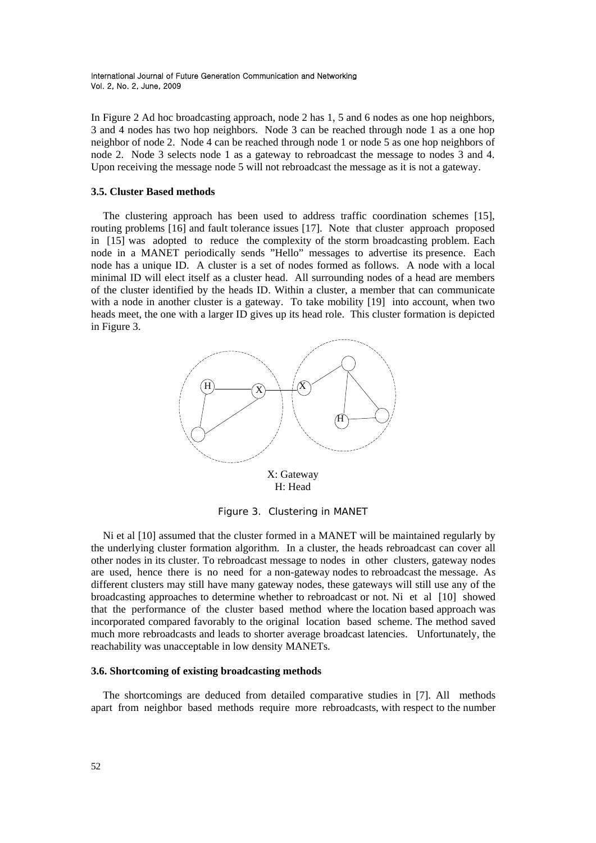In Figure 2 Ad hoc broadcasting approach, node 2 has 1, 5 and 6 nodes as one hop neighbors, 3 and 4 nodes has two hop neighbors. Node 3 can be reached through node 1 as a one hop neighbor of node 2. Node 4 can be reached through node 1 or node 5 as one hop neighbors of node 2. Node 3 selects node 1 as a gateway to rebroadcast the message to nodes 3 and 4. Upon receiving the message node 5 will not rebroadcast the message as it is not a gateway.

### **3.5. Cluster Based methods**

The clustering approach has been used to address traffic coordination schemes [15], routing problems [16] and fault tolerance issues [17]. Note that cluster approach proposed in [15] was adopted to reduce the complexity of the storm broadcasting problem. Each node in a MANET periodically sends "Hello" messages to advertise its presence. Each node has a unique ID. A cluster is a set of nodes formed as follows. A node with a local minimal ID will elect itself as a cluster head. All surrounding nodes of a head are members of the cluster identified by the heads ID. Within a cluster, a member that can communicate with a node in another cluster is a gateway. To take mobility [19] into account, when two heads meet, the one with a larger ID gives up its head role. This cluster formation is depicted in Figure 3.



Figure 3. Clustering in MANET

Ni et al [10] assumed that the cluster formed in a MANET will be maintained regularly by the underlying cluster formation algorithm. In a cluster, the heads rebroadcast can cover all other nodes in its cluster. To rebroadcast message to nodes in other clusters, gateway nodes are used, hence there is no need for a non-gateway nodes to rebroadcast the message. As different clusters may still have many gateway nodes, these gateways will still use any of the broadcasting approaches to determine whether to rebroadcast or not. Ni et al [10] showed that the performance of the cluster based method where the location based approach was incorporated compared favorably to the original location based scheme. The method saved much more rebroadcasts and leads to shorter average broadcast latencies. Unfortunately, the reachability was unacceptable in low density MANETs.

#### **3.6. Shortcoming of existing broadcasting methods**

The shortcomings are deduced from detailed comparative studies in [7]. All methods apart from neighbor based methods require more rebroadcasts, with respect to the number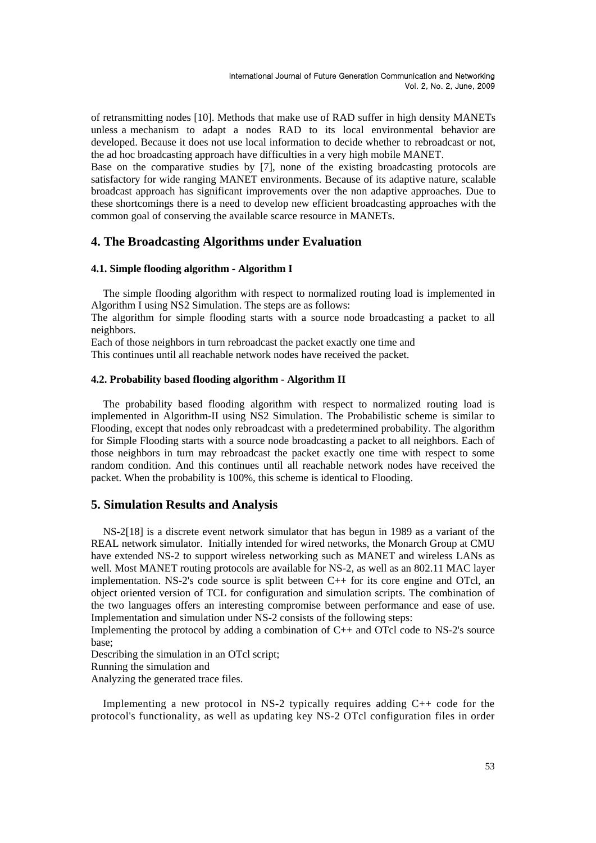of retransmitting nodes [10]. Methods that make use of RAD suffer in high density MANETs unless a mechanism to adapt a nodes RAD to its local environmental behavior are developed. Because it does not use local information to decide whether to rebroadcast or not, the ad hoc broadcasting approach have difficulties in a very high mobile MANET.

Base on the comparative studies by [7], none of the existing broadcasting protocols are satisfactory for wide ranging MANET environments. Because of its adaptive nature, scalable broadcast approach has significant improvements over the non adaptive approaches. Due to these shortcomings there is a need to develop new efficient broadcasting approaches with the common goal of conserving the available scarce resource in MANETs.

### **4. The Broadcasting Algorithms under Evaluation**

#### **4.1. Simple flooding algorithm - Algorithm I**

The simple flooding algorithm with respect to normalized routing load is implemented in Algorithm I using NS2 Simulation. The steps are as follows:

The algorithm for simple flooding starts with a source node broadcasting a packet to all neighbors.

Each of those neighbors in turn rebroadcast the packet exactly one time and This continues until all reachable network nodes have received the packet.

#### **4.2. Probability based flooding algorithm - Algorithm II**

The probability based flooding algorithm with respect to normalized routing load is implemented in Algorithm-II using NS2 Simulation. The Probabilistic scheme is similar to Flooding, except that nodes only rebroadcast with a predetermined probability. The algorithm for Simple Flooding starts with a source node broadcasting a packet to all neighbors. Each of those neighbors in turn may rebroadcast the packet exactly one time with respect to some random condition. And this continues until all reachable network nodes have received the packet. When the probability is 100%, this scheme is identical to Flooding.

### **5. Simulation Results and Analysis**

NS-2[18] is a discrete event network simulator that has begun in 1989 as a variant of the REAL network simulator. Initially intended for wired networks, the Monarch Group at CMU have extended NS-2 to support wireless networking such as MANET and wireless LANs as well. Most MANET routing protocols are available for NS-2, as well as an 802.11 MAC layer implementation. NS-2's code source is split between C++ for its core engine and OTcl, an object oriented version of TCL for configuration and simulation scripts. The combination of the two languages offers an interesting compromise between performance and ease of use. Implementation and simulation under NS-2 consists of the following steps:

Implementing the protocol by adding a combination of C++ and OTcl code to NS-2's source base;

Describing the simulation in an OTcl script; Running the simulation and Analyzing the generated trace files.

Implementing a new protocol in  $NS-2$  typically requires adding  $C++$  code for the protocol's functionality, as well as updating key NS-2 OTcl configuration files in order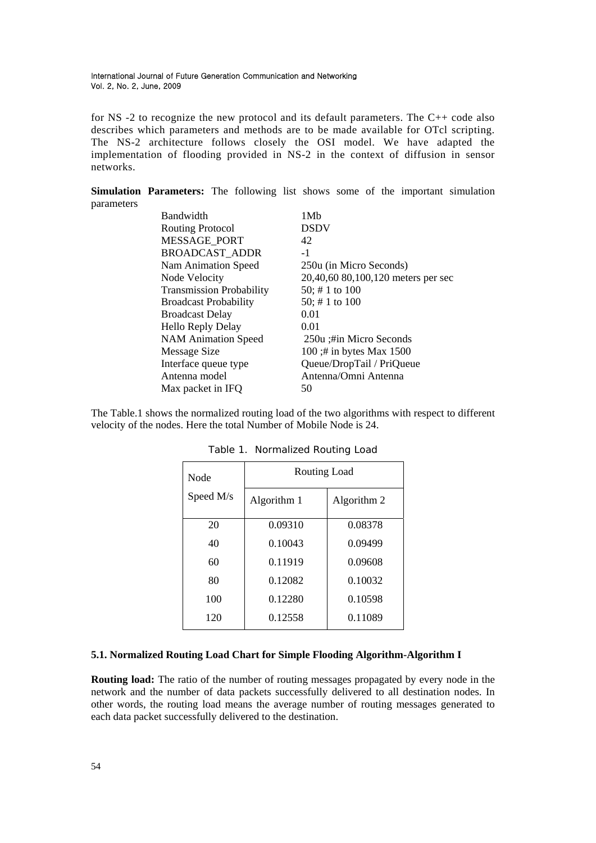for NS -2 to recognize the new protocol and its default parameters. The C++ code also describes which parameters and methods are to be made available for OTcl scripting. The NS-2 architecture follows closely the OSI model. We have adapted the implementation of flooding provided in NS-2 in the context of diffusion in sensor networks.

**Simulation Parameters:** The following list shows some of the important simulation parameters

| 1Mb                                |
|------------------------------------|
| <b>DSDV</b>                        |
| 42                                 |
| $-1$                               |
| 250u (in Micro Seconds)            |
| 20,40,60 80,100,120 meters per sec |
| 50; # 1 to 100                     |
| 50; # 1 to 100                     |
| 0.01                               |
| 0.01                               |
| 250u ;#in Micro Seconds            |
| 100;# in bytes Max 1500            |
| Queue/DropTail / PriQueue          |
| Antenna/Omni Antenna               |
| 50                                 |
|                                    |

The Table.1 shows the normalized routing load of the two algorithms with respect to different velocity of the nodes. Here the total Number of Mobile Node is 24.

| Node      | Routing Load |             |
|-----------|--------------|-------------|
| Speed M/s | Algorithm 1  | Algorithm 2 |
| 20        | 0.09310      | 0.08378     |
| 40        | 0.10043      | 0.09499     |
| 60        | 0.11919      | 0.09608     |
| 80        | 0.12082      | 0.10032     |
| 100       | 0.12280      | 0.10598     |
| 120       | 0.12558      | 0.11089     |

Table 1. Normalized Routing Load

### **5.1. Normalized Routing Load Chart for Simple Flooding Algorithm-Algorithm I**

**Routing load:** The ratio of the number of routing messages propagated by every node in the network and the number of data packets successfully delivered to all destination nodes. In other words, the routing load means the average number of routing messages generated to each data packet successfully delivered to the destination.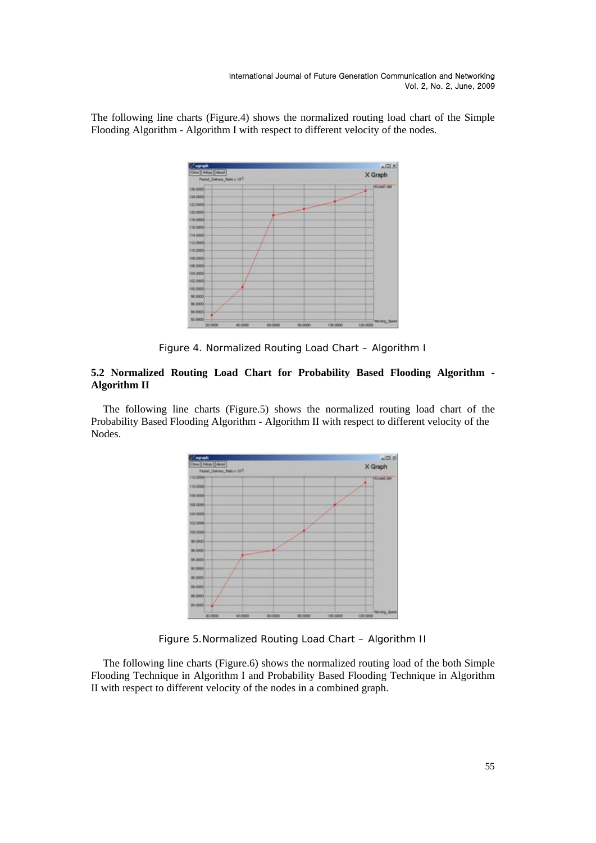The following line charts (Figure.4) shows the normalized routing load chart of the Simple Flooding Algorithm - Algorithm I with respect to different velocity of the nodes.



Figure 4. Normalized Routing Load Chart – Algorithm I

### **5.2 Normalized Routing Load Chart for Probability Based Flooding Algorithm - Algorithm II**

The following line charts (Figure.5) shows the normalized routing load chart of the Probability Based Flooding Algorithm - Algorithm II with respect to different velocity of the Nodes.



Figure 5.Normalized Routing Load Chart – Algorithm II

The following line charts (Figure.6) shows the normalized routing load of the both Simple Flooding Technique in Algorithm I and Probability Based Flooding Technique in Algorithm II with respect to different velocity of the nodes in a combined graph.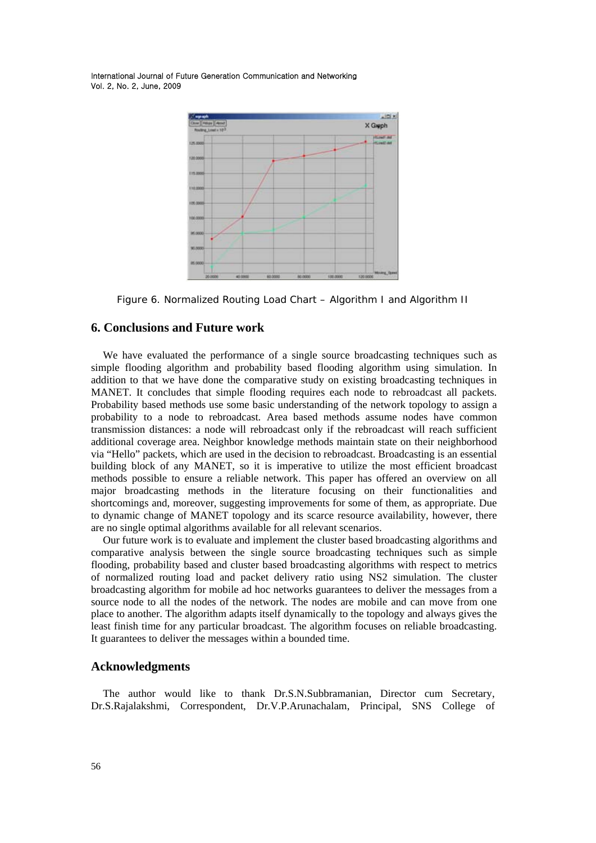

Figure 6. Normalized Routing Load Chart – Algorithm I and Algorithm II

## **6. Conclusions and Future work**

We have evaluated the performance of a single source broadcasting techniques such as simple flooding algorithm and probability based flooding algorithm using simulation. In addition to that we have done the comparative study on existing broadcasting techniques in MANET. It concludes that simple flooding requires each node to rebroadcast all packets. Probability based methods use some basic understanding of the network topology to assign a probability to a node to rebroadcast. Area based methods assume nodes have common transmission distances: a node will rebroadcast only if the rebroadcast will reach sufficient additional coverage area. Neighbor knowledge methods maintain state on their neighborhood via "Hello" packets, which are used in the decision to rebroadcast. Broadcasting is an essential building block of any MANET, so it is imperative to utilize the most efficient broadcast methods possible to ensure a reliable network. This paper has offered an overview on all major broadcasting methods in the literature focusing on their functionalities and shortcomings and, moreover, suggesting improvements for some of them, as appropriate. Due to dynamic change of MANET topology and its scarce resource availability, however, there are no single optimal algorithms available for all relevant scenarios.

Our future work is to evaluate and implement the cluster based broadcasting algorithms and comparative analysis between the single source broadcasting techniques such as simple flooding, probability based and cluster based broadcasting algorithms with respect to metrics of normalized routing load and packet delivery ratio using NS2 simulation. The cluster broadcasting algorithm for mobile ad hoc networks guarantees to deliver the messages from a source node to all the nodes of the network. The nodes are mobile and can move from one place to another. The algorithm adapts itself dynamically to the topology and always gives the least finish time for any particular broadcast. The algorithm focuses on reliable broadcasting. It guarantees to deliver the messages within a bounded time.

### **Acknowledgments**

The author would like to thank Dr.S.N.Subbramanian, Director cum Secretary, Dr.S.Rajalakshmi, Correspondent, Dr.V.P.Arunachalam, Principal, SNS College of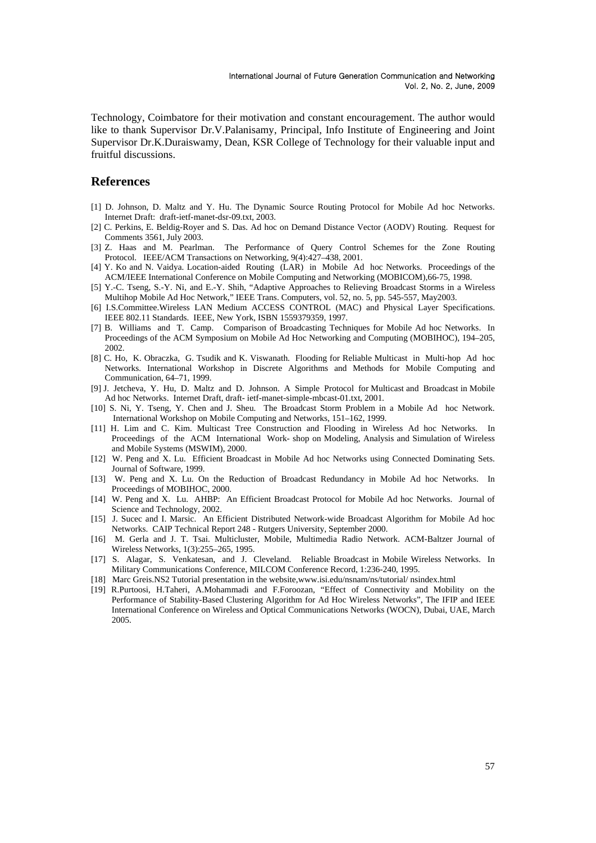Technology, Coimbatore for their motivation and constant encouragement. The author would like to thank Supervisor Dr.V.Palanisamy, Principal, Info Institute of Engineering and Joint Supervisor Dr.K.Duraiswamy, Dean, KSR College of Technology for their valuable input and fruitful discussions.

### **References**

- [1] D. Johnson, D. Maltz and Y. Hu. The Dynamic Source Routing Protocol for Mobile Ad hoc Networks. Internet Draft: draft-ietf-manet-dsr-09.txt, 2003.
- [2] C. Perkins, E. Beldig-Royer and S. Das. Ad hoc on Demand Distance Vector (AODV) Routing. Request for Comments 3561, July 2003.
- [3] Z. Haas and M. Pearlman. The Performance of Query Control Schemes for the Zone Routing Protocol. IEEE/ACM Transactions on Networking, 9(4):427–438, 2001.
- [4] Y. Ko and N. Vaidya. Location-aided Routing (LAR) in Mobile Ad hoc Networks. Proceedings of the ACM/IEEE International Conference on Mobile Computing and Networking (MOBICOM),66-75, 1998.
- [5] Y.-C. Tseng, S.-Y. Ni, and E.-Y. Shih, "Adaptive Approaches to Relieving Broadcast Storms in a Wireless Multihop Mobile Ad Hoc Network," IEEE Trans. Computers, vol. 52, no. 5, pp. 545-557, May2003.
- [6] I.S.Committee.Wireless LAN Medium ACCESS CONTROL (MAC) and Physical Layer Specifications. IEEE 802.11 Standards. IEEE, New York, ISBN 1559379359, 1997.
- [7] B. Williams and T. Camp. Comparison of Broadcasting Techniques for Mobile Ad hoc Networks. In Proceedings of the ACM Symposium on Mobile Ad Hoc Networking and Computing (MOBIHOC), 194–205, 2002.
- [8] C. Ho, K. Obraczka, G. Tsudik and K. Viswanath. Flooding for Reliable Multicast in Multi-hop Ad hoc Networks. International Workshop in Discrete Algorithms and Methods for Mobile Computing and Communication, 64–71, 1999.
- [9] J. Jetcheva, Y. Hu, D. Maltz and D. Johnson. A Simple Protocol for Multicast and Broadcast in Mobile Ad hoc Networks. Internet Draft, draft- ietf-manet-simple-mbcast-01.txt, 2001.
- [10] S. Ni, Y. Tseng, Y. Chen and J. Sheu. The Broadcast Storm Problem in a Mobile Ad hoc Network. International Workshop on Mobile Computing and Networks, 151–162, 1999.
- [11] H. Lim and C. Kim. Multicast Tree Construction and Flooding in Wireless Ad hoc Networks. In Proceedings of the ACM International Work- shop on Modeling, Analysis and Simulation of Wireless and Mobile Systems (MSWIM), 2000.
- [12] W. Peng and X. Lu. Efficient Broadcast in Mobile Ad hoc Networks using Connected Dominating Sets. Journal of Software, 1999.
- [13] W. Peng and X. Lu. On the Reduction of Broadcast Redundancy in Mobile Ad hoc Networks. In Proceedings of MOBIHOC, 2000.
- [14] W. Peng and X. Lu. AHBP: An Efficient Broadcast Protocol for Mobile Ad hoc Networks. Journal of Science and Technology, 2002.
- [15] J. Sucec and I. Marsic. An Efficient Distributed Network-wide Broadcast Algorithm for Mobile Ad hoc Networks. CAIP Technical Report 248 - Rutgers University, September 2000.
- [16] M. Gerla and J. T. Tsai. Multicluster, Mobile, Multimedia Radio Network. ACM-Baltzer Journal of Wireless Networks, 1(3):255–265, 1995.
- [17] S. Alagar, S. Venkatesan, and J. Cleveland. Reliable Broadcast in Mobile Wireless Networks. In Military Communications Conference, MILCOM Conference Record, 1:236-240, 1995.
- [18] Marc Greis.NS2 Tutorial presentation in the website,www.isi.edu/nsnam/ns/tutorial/ nsindex.html
- [19] R.Purtoosi, H.Taheri, A.Mohammadi and F.Foroozan, "Effect of Connectivity and Mobility on the Performance of Stability-Based Clustering Algorithm for Ad Hoc Wireless Networks", The IFIP and IEEE International Conference on Wireless and Optical Communications Networks (WOCN), Dubai, UAE, March 2005.